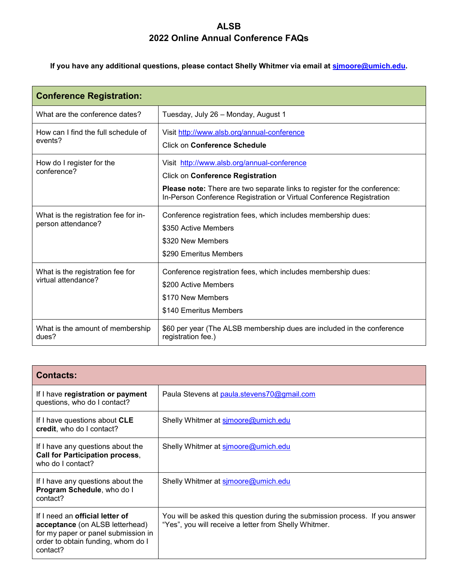## **ALSB 2022 Online Annual Conference FAQs**

**If you have any additional questions, please contact Shelly Whitmer via email at [sjmoore@umich.edu.](mailto:sjmoore@umich.edu)**

| <b>Conference Registration:</b>                            |                                                                                                                                                                                                                                                    |  |
|------------------------------------------------------------|----------------------------------------------------------------------------------------------------------------------------------------------------------------------------------------------------------------------------------------------------|--|
| What are the conference dates?                             | Tuesday, July 26 - Monday, August 1                                                                                                                                                                                                                |  |
| How can I find the full schedule of<br>events?             | Visit http://www.alsb.org/annual-conference<br><b>Click on Conference Schedule</b>                                                                                                                                                                 |  |
| How do I register for the<br>conference?                   | Visit http://www.alsb.org/annual-conference<br><b>Click on Conference Registration</b><br><b>Please note:</b> There are two separate links to register for the conference:<br>In-Person Conference Registration or Virtual Conference Registration |  |
| What is the registration fee for in-<br>person attendance? | Conference registration fees, which includes membership dues:<br>\$350 Active Members<br>\$320 New Members<br>\$290 Emeritus Members                                                                                                               |  |
| What is the registration fee for<br>virtual attendance?    | Conference registration fees, which includes membership dues:<br>\$200 Active Members<br>\$170 New Members<br>\$140 Emeritus Members                                                                                                               |  |
| What is the amount of membership<br>dues?                  | \$60 per year (The ALSB membership dues are included in the conference<br>registration fee.)                                                                                                                                                       |  |

| <b>Contacts:</b>                                                                                                                                                   |                                                                                                                                       |  |
|--------------------------------------------------------------------------------------------------------------------------------------------------------------------|---------------------------------------------------------------------------------------------------------------------------------------|--|
| If I have registration or payment<br>questions, who do I contact?                                                                                                  | Paula Stevens at paula.stevens70@gmail.com                                                                                            |  |
| If I have questions about CLE<br>credit, who do I contact?                                                                                                         | Shelly Whitmer at sjmoore@umich.edu                                                                                                   |  |
| If I have any questions about the<br><b>Call for Participation process,</b><br>who do I contact?                                                                   | Shelly Whitmer at simoore@umich.edu                                                                                                   |  |
| If I have any questions about the<br>Program Schedule, who do I<br>contact?                                                                                        | Shelly Whitmer at simoore@umich.edu                                                                                                   |  |
| If I need an <b>official letter of</b><br>acceptance (on ALSB letterhead)<br>for my paper or panel submission in<br>order to obtain funding, whom do I<br>contact? | You will be asked this question during the submission process. If you answer<br>"Yes", you will receive a letter from Shelly Whitmer. |  |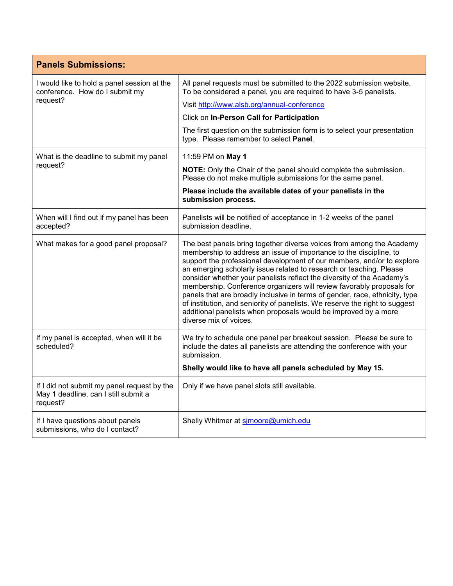| <b>Panels Submissions:</b>                                                                      |                                                                                                                                                                                                                                                                                                                                                                                                                                                                                                                                                                                                                                                                                                           |  |
|-------------------------------------------------------------------------------------------------|-----------------------------------------------------------------------------------------------------------------------------------------------------------------------------------------------------------------------------------------------------------------------------------------------------------------------------------------------------------------------------------------------------------------------------------------------------------------------------------------------------------------------------------------------------------------------------------------------------------------------------------------------------------------------------------------------------------|--|
| I would like to hold a panel session at the<br>conference. How do I submit my<br>request?       | All panel requests must be submitted to the 2022 submission website.<br>To be considered a panel, you are required to have 3-5 panelists.<br>Visit http://www.alsb.org/annual-conference<br>Click on In-Person Call for Participation<br>The first question on the submission form is to select your presentation<br>type. Please remember to select Panel.                                                                                                                                                                                                                                                                                                                                               |  |
| What is the deadline to submit my panel<br>request?                                             | 11:59 PM on May 1<br>NOTE: Only the Chair of the panel should complete the submission.<br>Please do not make multiple submissions for the same panel.<br>Please include the available dates of your panelists in the<br>submission process.                                                                                                                                                                                                                                                                                                                                                                                                                                                               |  |
| When will I find out if my panel has been<br>accepted?                                          | Panelists will be notified of acceptance in 1-2 weeks of the panel<br>submission deadline.                                                                                                                                                                                                                                                                                                                                                                                                                                                                                                                                                                                                                |  |
| What makes for a good panel proposal?                                                           | The best panels bring together diverse voices from among the Academy<br>membership to address an issue of importance to the discipline, to<br>support the professional development of our members, and/or to explore<br>an emerging scholarly issue related to research or teaching. Please<br>consider whether your panelists reflect the diversity of the Academy's<br>membership. Conference organizers will review favorably proposals for<br>panels that are broadly inclusive in terms of gender, race, ethnicity, type<br>of institution, and seniority of panelists. We reserve the right to suggest<br>additional panelists when proposals would be improved by a more<br>diverse mix of voices. |  |
| If my panel is accepted, when will it be<br>scheduled?                                          | We try to schedule one panel per breakout session. Please be sure to<br>include the dates all panelists are attending the conference with your<br>submission.<br>Shelly would like to have all panels scheduled by May 15.                                                                                                                                                                                                                                                                                                                                                                                                                                                                                |  |
| If I did not submit my panel request by the<br>May 1 deadline, can I still submit a<br>request? | Only if we have panel slots still available.                                                                                                                                                                                                                                                                                                                                                                                                                                                                                                                                                                                                                                                              |  |
| If I have questions about panels<br>submissions, who do I contact?                              | Shelly Whitmer at simoore@umich.edu                                                                                                                                                                                                                                                                                                                                                                                                                                                                                                                                                                                                                                                                       |  |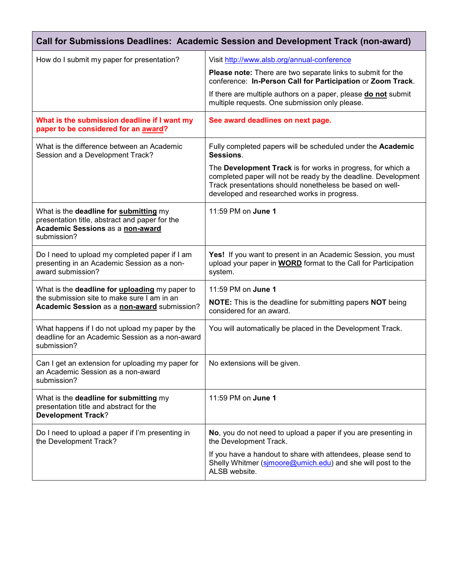| Call for Submissions Deadlines: Academic Session and Development Track (non-award)                                                          |                                                                                                                                                                                                                                          |  |  |
|---------------------------------------------------------------------------------------------------------------------------------------------|------------------------------------------------------------------------------------------------------------------------------------------------------------------------------------------------------------------------------------------|--|--|
| How do I submit my paper for presentation?                                                                                                  | Visit http://www.alsb.org/annual-conference                                                                                                                                                                                              |  |  |
|                                                                                                                                             | Please note: There are two separate links to submit for the<br>conference: In-Person Call for Participation or Zoom Track.                                                                                                               |  |  |
|                                                                                                                                             | If there are multiple authors on a paper, please do not submit<br>multiple requests. One submission only please.                                                                                                                         |  |  |
| What is the submission deadline if I want my<br>paper to be considered for an award?                                                        | See award deadlines on next page.                                                                                                                                                                                                        |  |  |
| What is the difference between an Academic<br>Session and a Development Track?                                                              | Fully completed papers will be scheduled under the Academic<br>Sessions.                                                                                                                                                                 |  |  |
|                                                                                                                                             | The Development Track is for works in progress, for which a<br>completed paper will not be ready by the deadline. Development<br>Track presentations should nonetheless be based on well-<br>developed and researched works in progress. |  |  |
| What is the deadline for submitting my<br>presentation title, abstract and paper for the<br>Academic Sessions as a non-award<br>submission? | 11:59 PM on June 1                                                                                                                                                                                                                       |  |  |
| Do I need to upload my completed paper if I am<br>presenting in an Academic Session as a non-<br>award submission?                          | Yes! If you want to present in an Academic Session, you must<br>upload your paper in <b>WORD</b> format to the Call for Participation<br>system.                                                                                         |  |  |
| What is the deadline for uploading my paper to                                                                                              | 11:59 PM on June 1                                                                                                                                                                                                                       |  |  |
| the submission site to make sure I am in an<br>Academic Session as a non-award submission?                                                  | NOTE: This is the deadline for submitting papers NOT being<br>considered for an award.                                                                                                                                                   |  |  |
| What happens if I do not upload my paper by the<br>deadline for an Academic Session as a non-award<br>submission?                           | You will automatically be placed in the Development Track.                                                                                                                                                                               |  |  |
| Can I get an extension for uploading my paper for<br>an Academic Session as a non-award<br>submission?                                      | No extensions will be given.                                                                                                                                                                                                             |  |  |
| What is the deadline for submitting my<br>presentation title and abstract for the<br><b>Development Track?</b>                              | 11:59 PM on June 1                                                                                                                                                                                                                       |  |  |
| Do I need to upload a paper if I'm presenting in<br>the Development Track?                                                                  | No, you do not need to upload a paper if you are presenting in<br>the Development Track.                                                                                                                                                 |  |  |
|                                                                                                                                             | If you have a handout to share with attendees, please send to<br>Shelly Whitmer (simoore@umich.edu) and she will post to the<br>ALSB website.                                                                                            |  |  |